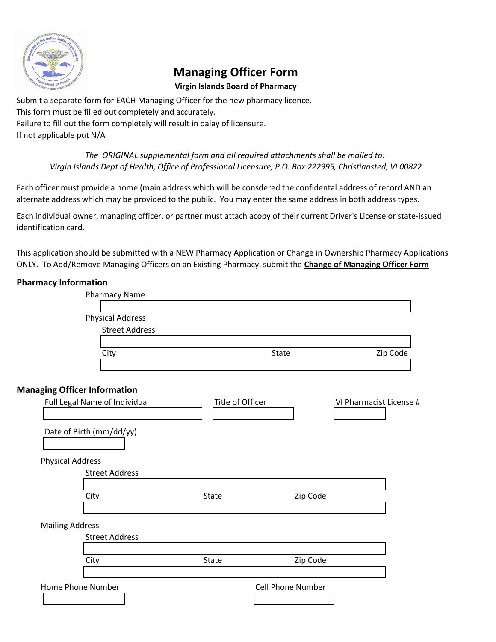

# **Managing Officer Form**

## **Virgin Islands Board of Pharmacy**

Submit a separate form for EACH Managing Officer for the new pharmacy licence. This form must be filled out completely and accurately. Failure to fill out the form completely will result in dalay of licensure. If not applicable put N/A

> *The ORIGINAL supplemental form and all required attachments shall be mailed to: Virgin Islands Dept of Health, Office of Professional Licensure, P.O. Box 222995, Christiansted, VI 00822*

Each officer must provide a home (main address which will be consdered the confidental address of record AND an alternate address which may be provided to the public. You may enter the same address in both address types.

Each individual owner, managing officer, or partner must attach acopy of their current Driver's License or state-issued identification card.

This application should be submitted with a NEW Pharmacy Application or Change in Ownership Pharmacy Applications ONLY. To Add/Remove Managing Officers on an Existing Pharmacy, submit the **Change of Managing Officer Form**

## **Pharmacy Information**

|                         | <b>Pharmacy Name</b>                |                  |                   |                         |
|-------------------------|-------------------------------------|------------------|-------------------|-------------------------|
|                         | <b>Physical Address</b>             |                  |                   |                         |
|                         | <b>Street Address</b>               |                  |                   |                         |
|                         |                                     |                  |                   |                         |
|                         | City                                |                  | <b>State</b>      | Zip Code                |
|                         |                                     |                  |                   |                         |
|                         | <b>Managing Officer Information</b> |                  |                   |                         |
|                         | Full Legal Name of Individual       | Title of Officer |                   | VI Pharmacist License # |
|                         |                                     |                  |                   |                         |
|                         | Date of Birth (mm/dd/yy)            |                  |                   |                         |
|                         |                                     |                  |                   |                         |
|                         |                                     |                  |                   |                         |
| <b>Physical Address</b> | <b>Street Address</b>               |                  |                   |                         |
|                         |                                     |                  |                   |                         |
|                         | City                                | State            | Zip Code          |                         |
|                         |                                     |                  |                   |                         |
| <b>Mailing Address</b>  |                                     |                  |                   |                         |
|                         | <b>Street Address</b>               |                  |                   |                         |
|                         |                                     |                  |                   |                         |
|                         | City                                | <b>State</b>     | Zip Code          |                         |
|                         |                                     |                  |                   |                         |
|                         | Home Phone Number                   |                  | Cell Phone Number |                         |
|                         |                                     |                  |                   |                         |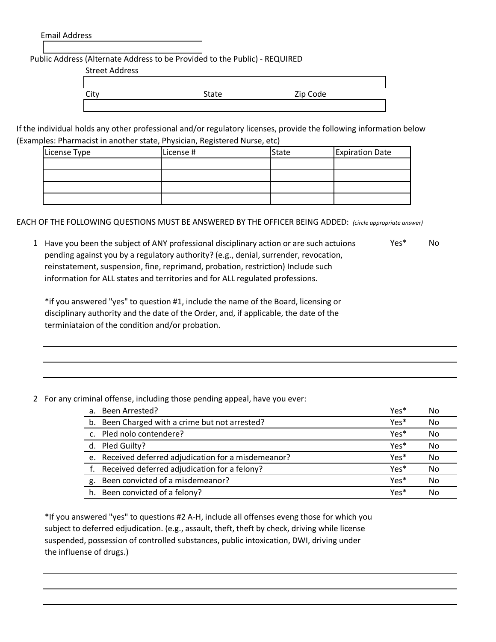Email Address

Public Address (Alternate Address to be Provided to the Public) - REQUIRED

Street Address

| ິບເ | State | Zip Code |  |
|-----|-------|----------|--|
|     |       |          |  |

If the individual holds any other professional and/or regulatory licenses, provide the following information below (Examples: Pharmacist in another state, Physician, Registered Nurse, etc)

| License Type | License # | State | <b>Expiration Date</b> |
|--------------|-----------|-------|------------------------|
|              |           |       |                        |
|              |           |       |                        |
|              |           |       |                        |
|              |           |       |                        |

EACH OF THE FOLLOWING QUESTIONS MUST BE ANSWERED BY THE OFFICER BEING ADDED: *(circle appropriate answer)*

1 Have you been the subject of ANY professional disciplinary action or are such actuions Yes\* No pending against you by a regulatory authority? (e.g., denial, surrender, revocation, reinstatement, suspension, fine, reprimand, probation, restriction) Include such information for ALL states and territories and for ALL regulated professions.

\*if you answered "yes" to question #1, include the name of the Board, licensing or disciplinary authority and the date of the Order, and, if applicable, the date of the terminiataion of the condition and/or probation.

2 For any criminal offense, including those pending appeal, have you ever:

|    | a. Been Arrested?                                    | Yes* | No |
|----|------------------------------------------------------|------|----|
|    | b. Been Charged with a crime but not arrested?       | Yes* | No |
|    | c. Pled nolo contendere?                             | Yes* | No |
|    | d. Pled Guilty?                                      | Yes* | No |
|    | e. Received deferred adjudication for a misdemeanor? | Yes* | No |
|    | f. Received deferred adjudication for a felony?      | Yes* | No |
| g. | Been convicted of a misdemeanor?                     | Yes* | No |
|    | h. Been convicted of a felony?                       | Yes* | No |

\*If you answered "yes" to questions #2 A-H, include all offenses eveng those for which you subject to deferred edjudication. (e.g., assault, theft, theft by check, driving while license suspended, possession of controlled substances, public intoxication, DWI, driving under the influense of drugs.)